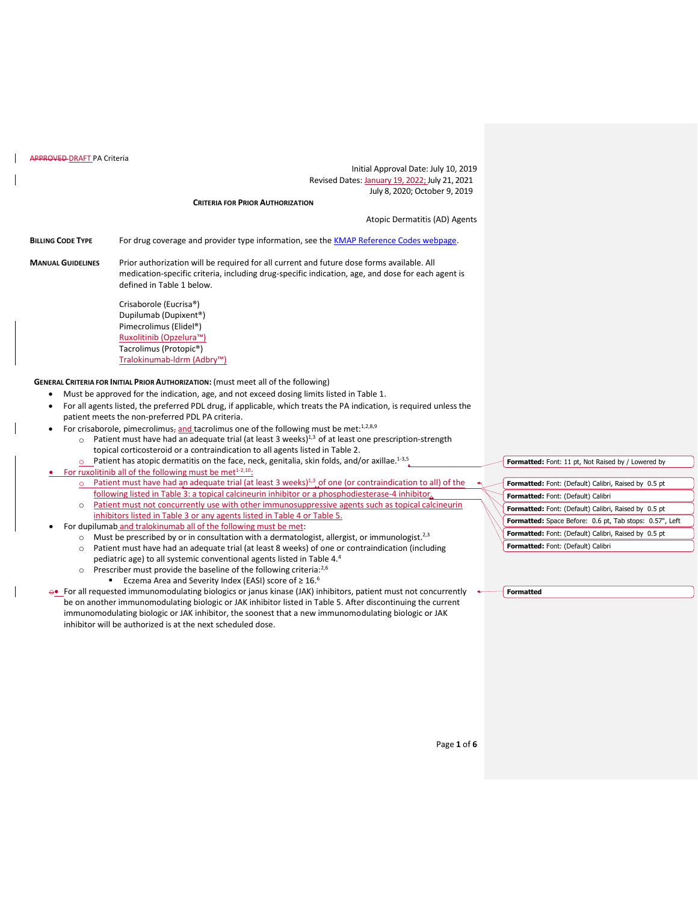| Initial Approval Date: July 10, 2019<br>Revised Dates: January 19, 2022; July 21, 2021<br>July 8, 2020; October 9, 2019<br><b>CRITERIA FOR PRIOR AUTHORIZATION</b>                                                          |                                                                                                                                                                                                                                                                                                                                                                                                                                                                                                                                                                                                                                                                                                                                                                                                                                                                                                                                                                                                                                                                                                                                                                                                                                                                                                                                                                                                                                                                                                                                                                                                                                                                                                                                                                                                                                                                                                                                                                                                                                                                                                                                                                                                                                                                                                                                                                                                                                                             |                                                                                                                                                                                                                                                                                                                                                                                       |
|-----------------------------------------------------------------------------------------------------------------------------------------------------------------------------------------------------------------------------|-------------------------------------------------------------------------------------------------------------------------------------------------------------------------------------------------------------------------------------------------------------------------------------------------------------------------------------------------------------------------------------------------------------------------------------------------------------------------------------------------------------------------------------------------------------------------------------------------------------------------------------------------------------------------------------------------------------------------------------------------------------------------------------------------------------------------------------------------------------------------------------------------------------------------------------------------------------------------------------------------------------------------------------------------------------------------------------------------------------------------------------------------------------------------------------------------------------------------------------------------------------------------------------------------------------------------------------------------------------------------------------------------------------------------------------------------------------------------------------------------------------------------------------------------------------------------------------------------------------------------------------------------------------------------------------------------------------------------------------------------------------------------------------------------------------------------------------------------------------------------------------------------------------------------------------------------------------------------------------------------------------------------------------------------------------------------------------------------------------------------------------------------------------------------------------------------------------------------------------------------------------------------------------------------------------------------------------------------------------------------------------------------------------------------------------------------------------|---------------------------------------------------------------------------------------------------------------------------------------------------------------------------------------------------------------------------------------------------------------------------------------------------------------------------------------------------------------------------------------|
|                                                                                                                                                                                                                             |                                                                                                                                                                                                                                                                                                                                                                                                                                                                                                                                                                                                                                                                                                                                                                                                                                                                                                                                                                                                                                                                                                                                                                                                                                                                                                                                                                                                                                                                                                                                                                                                                                                                                                                                                                                                                                                                                                                                                                                                                                                                                                                                                                                                                                                                                                                                                                                                                                                             |                                                                                                                                                                                                                                                                                                                                                                                       |
|                                                                                                                                                                                                                             |                                                                                                                                                                                                                                                                                                                                                                                                                                                                                                                                                                                                                                                                                                                                                                                                                                                                                                                                                                                                                                                                                                                                                                                                                                                                                                                                                                                                                                                                                                                                                                                                                                                                                                                                                                                                                                                                                                                                                                                                                                                                                                                                                                                                                                                                                                                                                                                                                                                             |                                                                                                                                                                                                                                                                                                                                                                                       |
|                                                                                                                                                                                                                             |                                                                                                                                                                                                                                                                                                                                                                                                                                                                                                                                                                                                                                                                                                                                                                                                                                                                                                                                                                                                                                                                                                                                                                                                                                                                                                                                                                                                                                                                                                                                                                                                                                                                                                                                                                                                                                                                                                                                                                                                                                                                                                                                                                                                                                                                                                                                                                                                                                                             |                                                                                                                                                                                                                                                                                                                                                                                       |
| Prior authorization will be required for all current and future dose forms available. All<br>medication-specific criteria, including drug-specific indication, age, and dose for each agent is<br>defined in Table 1 below. |                                                                                                                                                                                                                                                                                                                                                                                                                                                                                                                                                                                                                                                                                                                                                                                                                                                                                                                                                                                                                                                                                                                                                                                                                                                                                                                                                                                                                                                                                                                                                                                                                                                                                                                                                                                                                                                                                                                                                                                                                                                                                                                                                                                                                                                                                                                                                                                                                                                             |                                                                                                                                                                                                                                                                                                                                                                                       |
| Crisaborole (Eucrisa®)<br>Dupilumab (Dupixent <sup>®</sup> )<br>Pimecrolimus (Elidel®)<br>Ruxolitinib (Opzelura™)<br>Tacrolimus (Protopic®)<br>Tralokinumab-ldrm (Adbry™)                                                   |                                                                                                                                                                                                                                                                                                                                                                                                                                                                                                                                                                                                                                                                                                                                                                                                                                                                                                                                                                                                                                                                                                                                                                                                                                                                                                                                                                                                                                                                                                                                                                                                                                                                                                                                                                                                                                                                                                                                                                                                                                                                                                                                                                                                                                                                                                                                                                                                                                                             |                                                                                                                                                                                                                                                                                                                                                                                       |
|                                                                                                                                                                                                                             |                                                                                                                                                                                                                                                                                                                                                                                                                                                                                                                                                                                                                                                                                                                                                                                                                                                                                                                                                                                                                                                                                                                                                                                                                                                                                                                                                                                                                                                                                                                                                                                                                                                                                                                                                                                                                                                                                                                                                                                                                                                                                                                                                                                                                                                                                                                                                                                                                                                             | Formatted: Font: 11 pt, Not Raised by / Lowered by<br>Formatted: Font: (Default) Calibri, Raised by 0.5 pt<br>Formatted: Font: (Default) Calibri<br>Formatted: Font: (Default) Calibri, Raised by 0.5 pt<br>Formatted: Space Before: 0.6 pt, Tab stops: 0.57", Left<br>Formatted: Font: (Default) Calibri, Raised by 0.5 pt<br>Formatted: Font: (Default) Calibri<br><b>Formatted</b> |
|                                                                                                                                                                                                                             | <b>APPROVED-DRAFT PA Criteria</b><br>Atopic Dermatitis (AD) Agents<br>For drug coverage and provider type information, see the KMAP Reference Codes webpage.<br>GENERAL CRITERIA FOR INITIAL PRIOR AUTHORIZATION: (must meet all of the following)<br>Must be approved for the indication, age, and not exceed dosing limits listed in Table 1.<br>For all agents listed, the preferred PDL drug, if applicable, which treats the PA indication, is required unless the<br>patient meets the non-preferred PDL PA criteria.<br>For crisaborole, pimecrolimus <sub>7</sub> and tacrolimus one of the following must be met: <sup>1,2,8,9</sup><br>$\circ$ Patient must have had an adequate trial (at least 3 weeks) <sup>1,3</sup> of at least one prescription-strength<br>topical corticosteroid or a contraindication to all agents listed in Table 2.<br>$\circ$ Patient has atopic dermatitis on the face, neck, genitalia, skin folds, and/or axillae. <sup>1-3,5</sup><br>• For ruxolitinib all of the following must be met <sup>1-2,10</sup> :<br>$\circ$ Patient must have had an adequate trial (at least 3 weeks) <sup>1,3</sup> of one (or contraindication to all) of the<br>following listed in Table 3: a topical calcineurin inhibitor or a phosphodiesterase-4 inhibitor.<br>o Patient must not concurrently use with other immunosuppressive agents such as topical calcineurin<br>inhibitors listed in Table 3 or any agents listed in Table 4 or Table 5.<br>For dupilumab and tralokinumab all of the following must be met:<br>Must be prescribed by or in consultation with a dermatologist, allergist, or immunologist. <sup>2,3</sup><br>Patient must have had an adequate trial (at least 8 weeks) of one or contraindication (including<br>pediatric age) to all systemic conventional agents listed in Table 4. <sup>4</sup><br>Prescriber must provide the baseline of the following criteria: <sup>2,6</sup><br><b>Example 16.</b> Eczema Area and Severity Index (EASI) score of $\geq 16.$ <sup>6</sup><br>$\rightarrow$ For all requested immunomodulating biologics or janus kinase (JAK) inhibitors, patient must not concurrently<br>be on another immunomodulating biologic or JAK inhibitor listed in Table 5. After discontinuing the current<br>immunomodulating biologic or JAK inhibitor, the soonest that a new immunomodulating biologic or JAK<br>inhibitor will be authorized is at the next scheduled dose. |                                                                                                                                                                                                                                                                                                                                                                                       |

 $\overline{\phantom{a}}$ 

 $\overline{\phantom{a}}$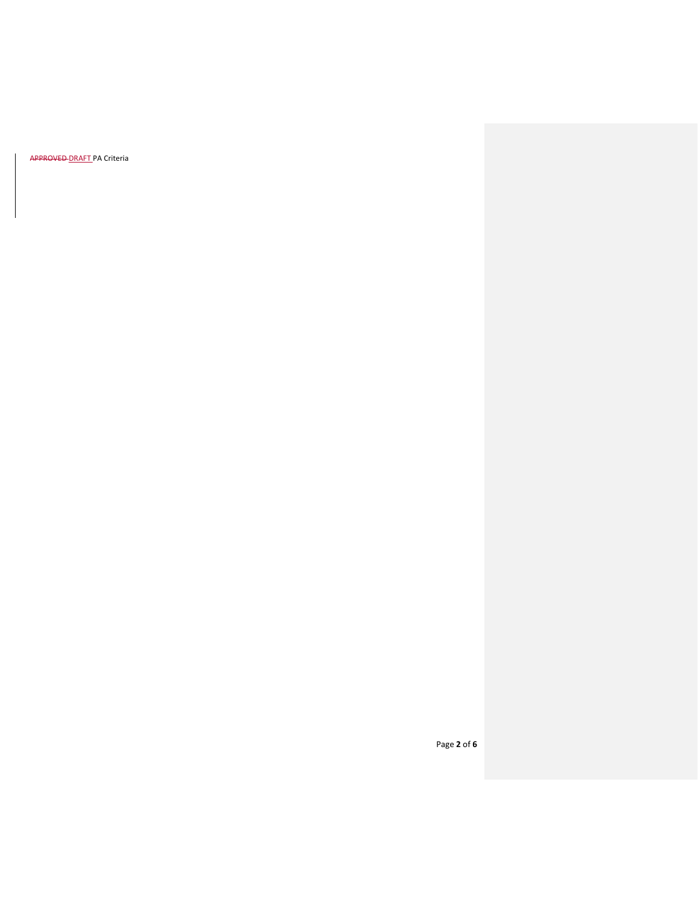APPROVED DRAFT PA Criteria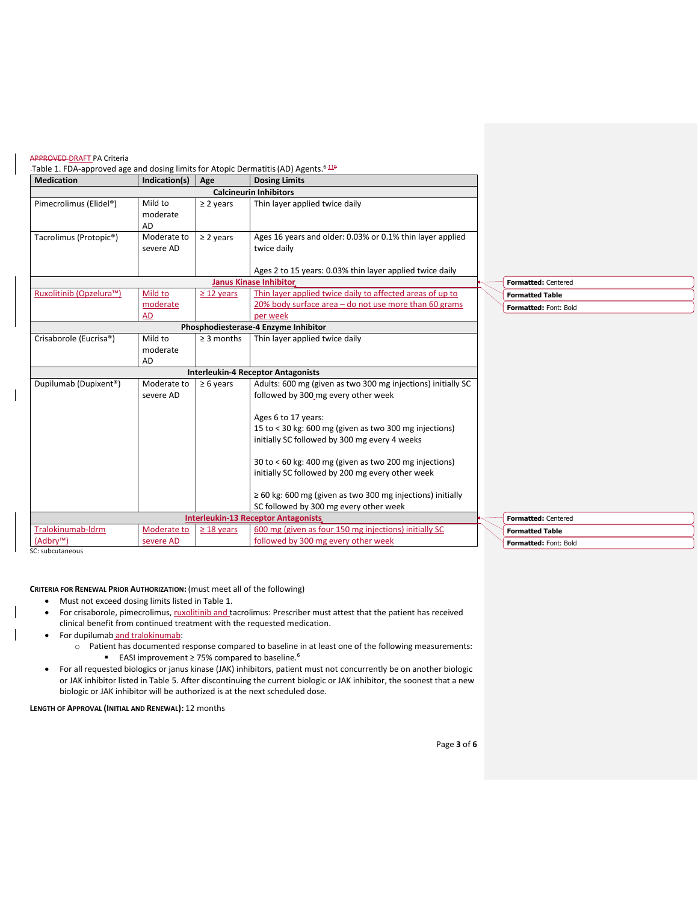| <b>APPROVED DRAFT PA Criteria</b><br>-Table 1. FDA-approved age and dosing limits for Atopic Dermatitis (AD) Agents. <sup>6-119</sup> |                                  |                 |                                                                                                                                |                            |  |
|---------------------------------------------------------------------------------------------------------------------------------------|----------------------------------|-----------------|--------------------------------------------------------------------------------------------------------------------------------|----------------------------|--|
| <b>Medication</b>                                                                                                                     | Indication(s) $ $ Age            |                 | <b>Dosing Limits</b>                                                                                                           |                            |  |
|                                                                                                                                       |                                  |                 | <b>Calcineurin Inhibitors</b>                                                                                                  |                            |  |
| Pimecrolimus (Elidel®)                                                                                                                | Mild to<br>moderate<br>AD        | $\geq$ 2 years  | Thin layer applied twice daily                                                                                                 |                            |  |
| Tacrolimus (Protopic®)                                                                                                                | Moderate to<br>severe AD         | $\geq$ 2 years  | Ages 16 years and older: 0.03% or 0.1% thin layer applied<br>twice daily                                                       |                            |  |
|                                                                                                                                       |                                  |                 | Ages 2 to 15 years: 0.03% thin layer applied twice daily                                                                       |                            |  |
|                                                                                                                                       |                                  |                 | <b>Janus Kinase Inhibitor</b>                                                                                                  | <b>Formatted: Centered</b> |  |
| Ruxolitinib (Opzelura™)                                                                                                               | Mild to                          | $\geq$ 12 years | Thin layer applied twice daily to affected areas of up to                                                                      | <b>Formatted Table</b>     |  |
|                                                                                                                                       | moderate                         |                 | 20% body surface area $-$ do not use more than 60 grams                                                                        | Formatted: Font: Bold      |  |
|                                                                                                                                       | <b>AD</b>                        |                 | per week                                                                                                                       |                            |  |
|                                                                                                                                       |                                  |                 | Phosphodiesterase-4 Enzyme Inhibitor                                                                                           |                            |  |
| Crisaborole (Eucrisa®)                                                                                                                | Mild to<br>moderate<br><b>AD</b> | $\geq$ 3 months | Thin layer applied twice daily                                                                                                 |                            |  |
|                                                                                                                                       |                                  |                 | <b>Interleukin-4 Receptor Antagonists</b>                                                                                      |                            |  |
| Dupilumab (Dupixent <sup>®</sup> )                                                                                                    | Moderate to<br>severe AD         | $\geq 6$ years  | Adults: 600 mg (given as two 300 mg injections) initially SC<br>followed by 300 mg every other week                            |                            |  |
|                                                                                                                                       |                                  |                 | Ages 6 to 17 years:<br>15 to < 30 kg: 600 mg (given as two 300 mg injections)<br>initially SC followed by 300 mg every 4 weeks |                            |  |
|                                                                                                                                       |                                  |                 | 30 to < 60 kg: 400 mg (given as two 200 mg injections)<br>initially SC followed by 200 mg every other week                     |                            |  |
|                                                                                                                                       |                                  |                 | $\geq$ 60 kg: 600 mg (given as two 300 mg injections) initially                                                                |                            |  |
|                                                                                                                                       |                                  |                 | SC followed by 300 mg every other week<br><b>Interleukin-13 Receptor Antagonists</b>                                           | <b>Formatted: Centered</b> |  |
| Tralokinumab-ldrm                                                                                                                     | Moderate to                      | $\geq$ 18 years | 600 mg (given as four 150 mg injections) initially SC                                                                          |                            |  |
| (Adbry™)                                                                                                                              | severe AD                        |                 | followed by 300 mg every other week                                                                                            | <b>Formatted Table</b>     |  |
|                                                                                                                                       |                                  |                 |                                                                                                                                | Formatted: Font: Bold      |  |

C: subcutaneous

 $\overline{\phantom{a}}$ 

**CRITERIA FOR RENEWAL PRIOR AUTHORIZATION:** (must meet all of the following)

• Must not exceed dosing limits listed in Table 1.

• For crisaborole, pimecrolimus, ruxolitinib and tacrolimus: Prescriber must attest that the patient has received clinical benefit from continued treatment with the requested medication.

- For dupilumab and tralokinumab:
	- o Patient has documented response compared to baseline in at least one of the following measurements: ■ EASI improvement ≥ 75% compared to baseline.<sup>6</sup>
- For all requested biologics or janus kinase (JAK) inhibitors, patient must not concurrently be on another biologic or JAK inhibitor listed in Table 5. After discontinuing the current biologic or JAK inhibitor, the soonest that a new biologic or JAK inhibitor will be authorized is at the next scheduled dose.

**LENGTH OF APPROVAL (INITIAL AND RENEWAL):** 12 months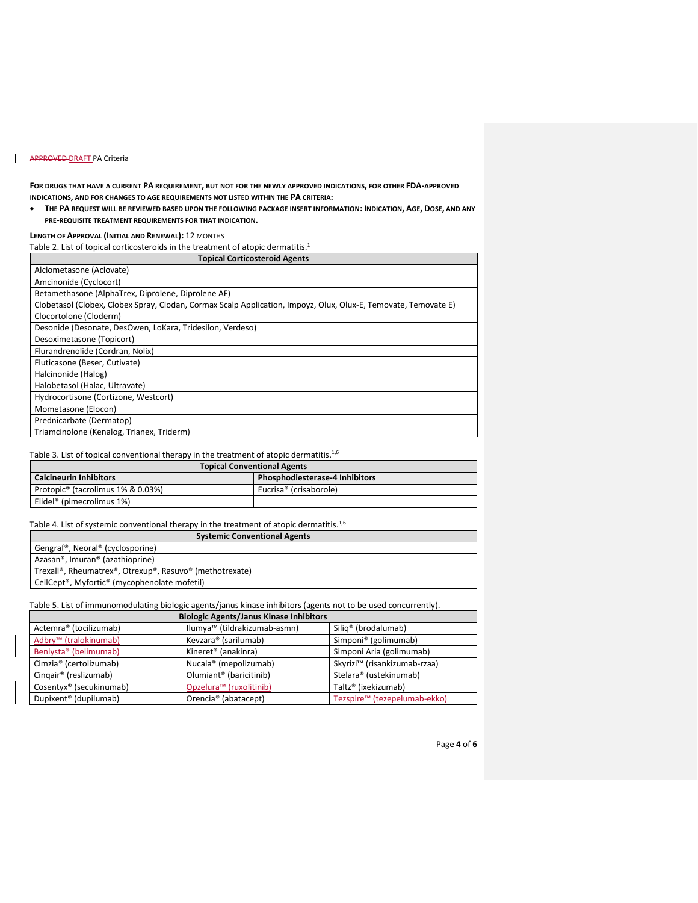# APPROVED DRAFT PA Criteria

**FOR DRUGS THAT HAVE A CURRENT PA REQUIREMENT, BUT NOT FOR THE NEWLY APPROVED INDICATIONS, FOR OTHER FDA-APPROVED INDICATIONS, AND FOR CHANGES TO AGE REQUIREMENTS NOT LISTED WITHIN THE PA CRITERIA:**

• **THE PA REQUEST WILL BE REVIEWED BASED UPON THE FOLLOWING PACKAGE INSERT INFORMATION: INDICATION, AGE, DOSE, AND ANY PRE-REQUISITE TREATMENT REQUIREMENTS FOR THAT INDICATION.**

## **LENGTH OF APPROVAL (INITIAL AND RENEWAL):** 12 MONTHS

Table 2. List of topical corticosteroids in the treatment of atopic dermatitis.<sup>1</sup>

| <b>Topical Corticosteroid Agents</b>                                                                            |
|-----------------------------------------------------------------------------------------------------------------|
| Alclometasone (Aclovate)                                                                                        |
| Amcinonide (Cyclocort)                                                                                          |
| Betamethasone (AlphaTrex, Diprolene, Diprolene AF)                                                              |
| Clobetasol (Clobex, Clobex Spray, Clodan, Cormax Scalp Application, Impoyz, Olux, Olux-E, Temovate, Temovate E) |
| Clocortolone (Cloderm)                                                                                          |
| Desonide (Desonate, DesOwen, LoKara, Tridesilon, Verdeso)                                                       |
| Desoximetasone (Topicort)                                                                                       |
| Flurandrenolide (Cordran, Nolix)                                                                                |
| Fluticasone (Beser, Cutivate)                                                                                   |
| Halcinonide (Halog)                                                                                             |
| Halobetasol (Halac, Ultravate)                                                                                  |
| Hydrocortisone (Cortizone, Westcort)                                                                            |
| Mometasone (Elocon)                                                                                             |
| Prednicarbate (Dermatop)                                                                                        |
| Triamcinolone (Kenalog, Trianex, Triderm)                                                                       |

### Table 3. List of topical conventional therapy in the treatment of atopic dermatitis.<sup>1,6</sup>

|                                               | <b>Topical Conventional Agents</b> |
|-----------------------------------------------|------------------------------------|
| <b>Calcineurin Inhibitors</b>                 | Phosphodiesterase-4 Inhibitors     |
| Protopic <sup>®</sup> (tacrolimus 1% & 0.03%) | Eucrisa® (crisaborole)             |
| Elidel <sup>®</sup> (pimecrolimus 1%)         |                                    |

### Table 4. List of systemic conventional therapy in the treatment of atopic dermatitis.<sup>1,6</sup>

| <b>Systemic Conventional Agents</b>                                   |
|-----------------------------------------------------------------------|
| Gengraf <sup>®</sup> , Neoral <sup>®</sup> (cyclosporine)             |
| Azasan®, Imuran® (azathioprine)                                       |
| Trexall®, Rheumatrex®, Otrexup®, Rasuvo® (methotrexate)               |
| CellCept <sup>®</sup> , Myfortic <sup>®</sup> (mycophenolate mofetil) |

Table 5. List of immunomodulating biologic agents/janus kinase inhibitors (agents not to be used concurrently).

|                                     | <b>Biologic Agents/Janus Kinase Inhibitors</b> |                                 |
|-------------------------------------|------------------------------------------------|---------------------------------|
| Actemra <sup>®</sup> (tocilizumab)  | Ilumya™ (tildrakizumab-asmn)                   | Silig <sup>®</sup> (brodalumab) |
| Adbry <sup>™</sup> (tralokinumab)   | Kevzara® (sarilumab)                           | Simponi® (golimumab)            |
| Benlysta® (belimumab)               | Kineret <sup>®</sup> (anakinra)                | Simponi Aria (golimumab)        |
| Cimzia <sup>®</sup> (certolizumab)  | Nucala <sup>®</sup> (mepolizumab)              | Skyrizi™ (risankizumab-rzaa)    |
| Cingair <sup>®</sup> (reslizumab)   | Olumiant <sup>®</sup> (baricitinib)            | Stelara® (ustekinumab)          |
| Cosentyx <sup>®</sup> (secukinumab) | Opzelura <sup>™</sup> (ruxolitinib)            | Taltz® (ixekizumab)             |
| Dupixent <sup>®</sup> (dupilumab)   | Orencia <sup>®</sup> (abatacept)               | Tezspire™ (tezepelumab-ekko)    |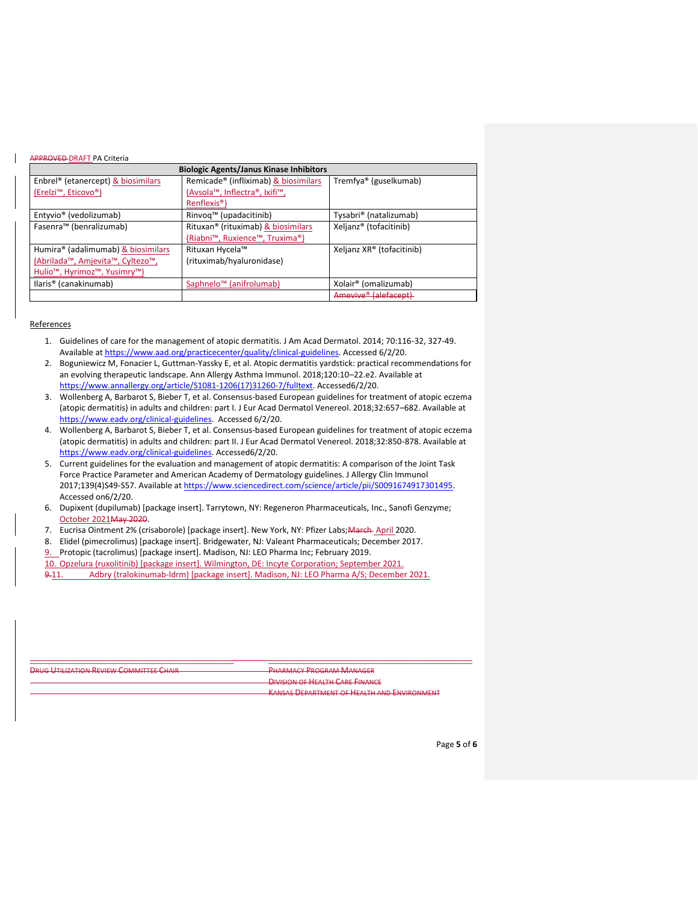#### APPROVED-DRAFT PA Criteria

|                                                       | <b>Biologic Agents/Janus Kinase Inhibitors</b> |                                       |
|-------------------------------------------------------|------------------------------------------------|---------------------------------------|
| Enbrel <sup>®</sup> (etanercept) & biosimilars        | Remicade® (infliximab) & biosimilars           | Tremfya® (guselkumab)                 |
| (Erelzi <sup>™</sup> , Eticovo®)                      | (Avsola™, Inflectra®, Ixifi™,                  |                                       |
|                                                       | Renflexis <sup>®</sup> )                       |                                       |
| Entyvio <sup>®</sup> (vedolizumab)                    | Rinvoq™ (upadacitinib)                         | Tysabri® (natalizumab)                |
| Fasenra™ (benralizumab)                               | Rituxan <sup>®</sup> (rituximab) & biosimilars | Xeljanz® (tofacitinib)                |
|                                                       | (Riabni™, Ruxience™, Truxima®)                 |                                       |
| Humira® (adalimumab) & biosimilars                    | Rituxan Hycela™                                | Xeljanz XR <sup>®</sup> (tofacitinib) |
| (Abrilada™, Amjevita™, Cyltezo™,                      | (rituximab/hyaluronidase)                      |                                       |
| Hulio <sup>™</sup> , Hyrimoz <sup>™</sup> , Yusimry™) |                                                |                                       |
| Ilaris <sup>®</sup> (canakinumab)                     | Saphnelo <sup>™</sup> (anifrolumab)            | Xolair <sup>®</sup> (omalizumab)      |
|                                                       |                                                | Amevive <sup>®</sup> (alefacept)      |

## References

- 1. Guidelines of care for the management of atopic dermatitis. J Am Acad Dermatol. 2014; 70:116-32, 327-49. Available a[t https://www.aad.org/practicecenter/quality/clinical-guidelines.](https://www.aad.org/practicecenter/quality/clinical-guidelines) Accessed 6/2/20.
- 2. Boguniewicz M, Fonacier L, Guttman-Yassky E, et al. Atopic dermatitis yardstick: practical recommendations for an evolving therapeutic landscape. Ann Allergy Asthma Immunol. 2018;120:10–22.e2. Available at [https://www.annallergy.org/article/S1081-1206\(17\)31260-7/fulltext.](https://www.annallergy.org/article/S1081-1206(17)31260-7/fulltext) Accessed6/2/20.
- 3. Wollenberg A, Barbarot S, Bieber T, et al. Consensus-based European guidelines for treatment of atopic eczema (atopic dermatitis) in adults and children: part I. J Eur Acad Dermatol Venereol. 2018;32:657–682. Available at [https://www.eadv.org/clinical-guidelines.](https://www.eadv.org/clinical-guidelines) Accessed 6/2/20.
- 4. Wollenberg A, Barbarot S, Bieber T, et al. Consensus-based European guidelines for treatment of atopic eczema (atopic dermatitis) in adults and children: part II. J Eur Acad Dermatol Venereol. 2018;32:850-878. Available at [https://www.eadv.org/clinical-guidelines.](https://www.eadv.org/clinical-guidelines) Accessed6/2/20.
- 5. Current guidelines for the evaluation and management of atopic dermatitis: A comparison of the Joint Task Force Practice Parameter and American Academy of Dermatology guidelines. J Allergy Clin Immunol 2017;139(4)S49-S57. Available at [https://www.sciencedirect.com/science/article/pii/S0091674917301495.](https://www.sciencedirect.com/science/article/pii/S0091674917301495) Accessed on6/2/20.
- 6. Dupixent (dupilumab) [package insert]. Tarrytown, NY: Regeneron Pharmaceuticals, Inc., Sanofi Genzyme; October 2021May 2020.
- 7. Eucrisa Ointment 2% (crisaborole) [package insert]. New York, NY: Pfizer Labs; March April 2020.
- 8. Elidel (pimecrolimus) [package insert]. Bridgewater, NJ: Valeant Pharmaceuticals; December 2017.
- 9. Protopic (tacrolimus) [package insert]. Madison, NJ: LEO Pharma Inc; February 2019.
- 10. Opzelura (ruxolitinib) [package insert]. Wilmington, DE: Incyte Corporation; September 2021.

9.11. Adbry (tralokinumab-ldrm) [package insert]. Madison, NJ: LEO Pharma A/S; December 2021.

| <b>DRUG LITHIZATION REVIEW COMMITTEE CHAIR</b> | <b>DUADMACY DROCRAM MANIACER</b>                                                                                                                                                                                               |
|------------------------------------------------|--------------------------------------------------------------------------------------------------------------------------------------------------------------------------------------------------------------------------------|
|                                                |                                                                                                                                                                                                                                |
|                                                | <b>DIVICION OF HEALTH CARE EINIANCE</b>                                                                                                                                                                                        |
|                                                | E WAS ARRESTED FOR THE REPORT OF THE RESIDENCE OF A VEHICLE AND THE RESIDENCE OF THE RESIDENCE OF THE RESIDENCE OF THE RESIDENCE OF THE RESIDENCE OF THE RESIDENCE OF THE RESIDENCE OF THE RESIDENCE OF THE RESIDENCE OF THE R |
|                                                | <b><i>KANCAS DEDADTMENT OF HEALTH AND ENVIDONMENT</i></b>                                                                                                                                                                      |
|                                                | EN ANN IT AN 1972 YN Y YN YN YN YN Y DELWYDDI Y AN Y DDIFAN Y LLYDIAU YN Y NHAETHAU Y DDIFAD                                                                                                                                   |